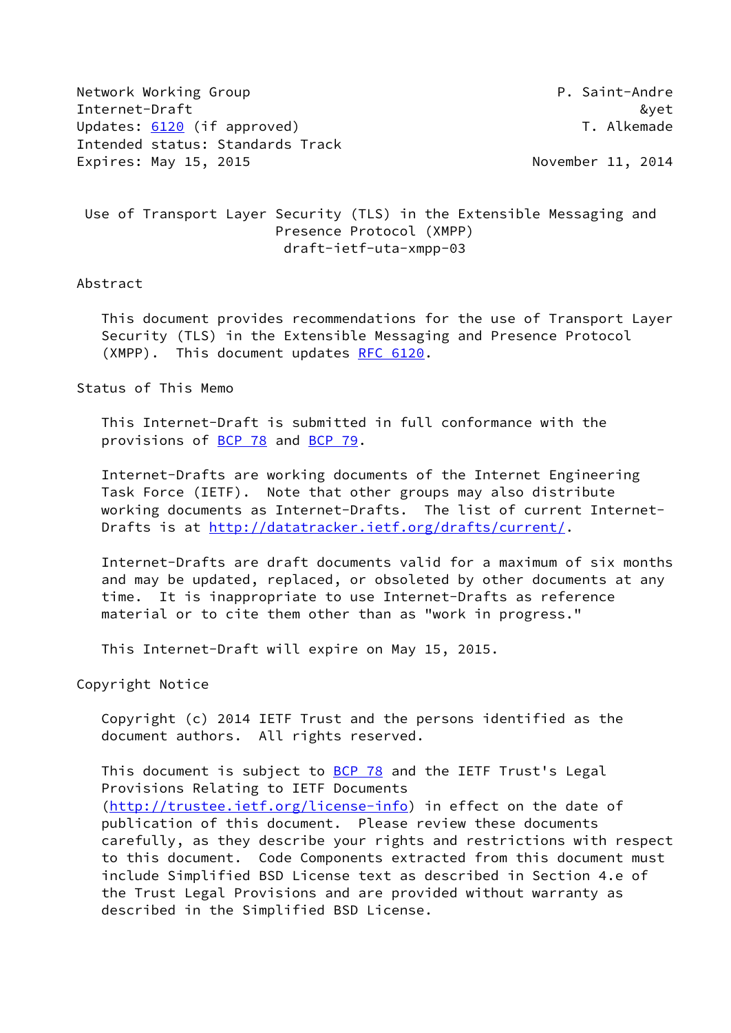| P. Saint-Andre    |
|-------------------|
| &vet              |
| T. Alkemade       |
|                   |
| November 11, 2014 |
|                   |

 Use of Transport Layer Security (TLS) in the Extensible Messaging and Presence Protocol (XMPP) draft-ietf-uta-xmpp-03

#### Abstract

 This document provides recommendations for the use of Transport Layer Security (TLS) in the Extensible Messaging and Presence Protocol (XMPP). This document updates [RFC 6120.](https://datatracker.ietf.org/doc/pdf/rfc6120)

#### Status of This Memo

 This Internet-Draft is submitted in full conformance with the provisions of [BCP 78](https://datatracker.ietf.org/doc/pdf/bcp78) and [BCP 79](https://datatracker.ietf.org/doc/pdf/bcp79).

 Internet-Drafts are working documents of the Internet Engineering Task Force (IETF). Note that other groups may also distribute working documents as Internet-Drafts. The list of current Internet- Drafts is at<http://datatracker.ietf.org/drafts/current/>.

 Internet-Drafts are draft documents valid for a maximum of six months and may be updated, replaced, or obsoleted by other documents at any time. It is inappropriate to use Internet-Drafts as reference material or to cite them other than as "work in progress."

This Internet-Draft will expire on May 15, 2015.

Copyright Notice

 Copyright (c) 2014 IETF Trust and the persons identified as the document authors. All rights reserved.

This document is subject to **[BCP 78](https://datatracker.ietf.org/doc/pdf/bcp78)** and the IETF Trust's Legal Provisions Relating to IETF Documents [\(http://trustee.ietf.org/license-info](http://trustee.ietf.org/license-info)) in effect on the date of publication of this document. Please review these documents carefully, as they describe your rights and restrictions with respect to this document. Code Components extracted from this document must include Simplified BSD License text as described in Section 4.e of the Trust Legal Provisions and are provided without warranty as described in the Simplified BSD License.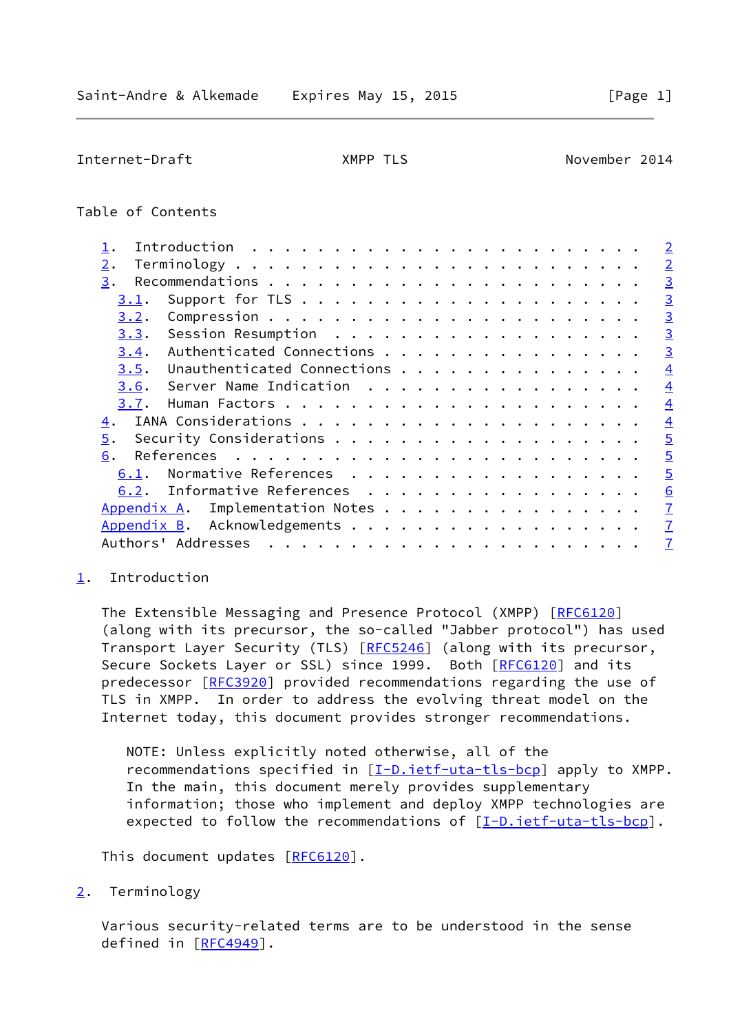<span id="page-1-1"></span>Internet-Draft XMPP TLS November 2014

# Table of Contents

|             |                             |  |  |  | $\overline{2}$ |
|-------------|-----------------------------|--|--|--|----------------|
| 2.          |                             |  |  |  | $\overline{2}$ |
| 3.          |                             |  |  |  | $\overline{3}$ |
| 3.1.        |                             |  |  |  | $\overline{3}$ |
| 3.2.        |                             |  |  |  | $\overline{3}$ |
| 3.3.        |                             |  |  |  | $\overline{3}$ |
| 3.4.        | Authenticated Connections   |  |  |  | $\overline{3}$ |
| 3.5.        | Unauthenticated Connections |  |  |  | $\overline{4}$ |
| 3.6.        | Server Name Indication      |  |  |  | $\overline{4}$ |
| 3.7.        |                             |  |  |  | $\overline{4}$ |
| 4.          |                             |  |  |  | $\overline{4}$ |
| 5.          |                             |  |  |  | $\overline{5}$ |
| 6.          |                             |  |  |  | $\overline{5}$ |
| 6.1.        | Normative References        |  |  |  | $\overline{5}$ |
| 6.2.        | Informative References      |  |  |  | 6              |
| Appendix A. | Implementation Notes        |  |  |  | $\overline{1}$ |
| Appendix B. | Acknowledgements            |  |  |  | $\overline{1}$ |
|             | Authors' Addresses          |  |  |  | $\overline{1}$ |
|             |                             |  |  |  |                |

## <span id="page-1-0"></span>[1](#page-1-0). Introduction

The Extensible Messaging and Presence Protocol (XMPP) [[RFC6120](https://datatracker.ietf.org/doc/pdf/rfc6120)] (along with its precursor, the so-called "Jabber protocol") has used Transport Layer Security (TLS) [\[RFC5246](https://datatracker.ietf.org/doc/pdf/rfc5246)] (along with its precursor, Secure Sockets Layer or SSL) since 1999. Both [\[RFC6120](https://datatracker.ietf.org/doc/pdf/rfc6120)] and its predecessor [\[RFC3920](https://datatracker.ietf.org/doc/pdf/rfc3920)] provided recommendations regarding the use of TLS in XMPP. In order to address the evolving threat model on the Internet today, this document provides stronger recommendations.

 NOTE: Unless explicitly noted otherwise, all of the recommendations specified in  $[I-D.iett-uta-tls-bcp]$  apply to XMPP. In the main, this document merely provides supplementary information; those who implement and deploy XMPP technologies are expected to follow the recommendations of [\[I-D.ietf-uta-tls-bcp](#page-5-4)].

This document updates [[RFC6120](https://datatracker.ietf.org/doc/pdf/rfc6120)].

<span id="page-1-2"></span>[2](#page-1-2). Terminology

 Various security-related terms are to be understood in the sense defined in [[RFC4949\]](https://datatracker.ietf.org/doc/pdf/rfc4949).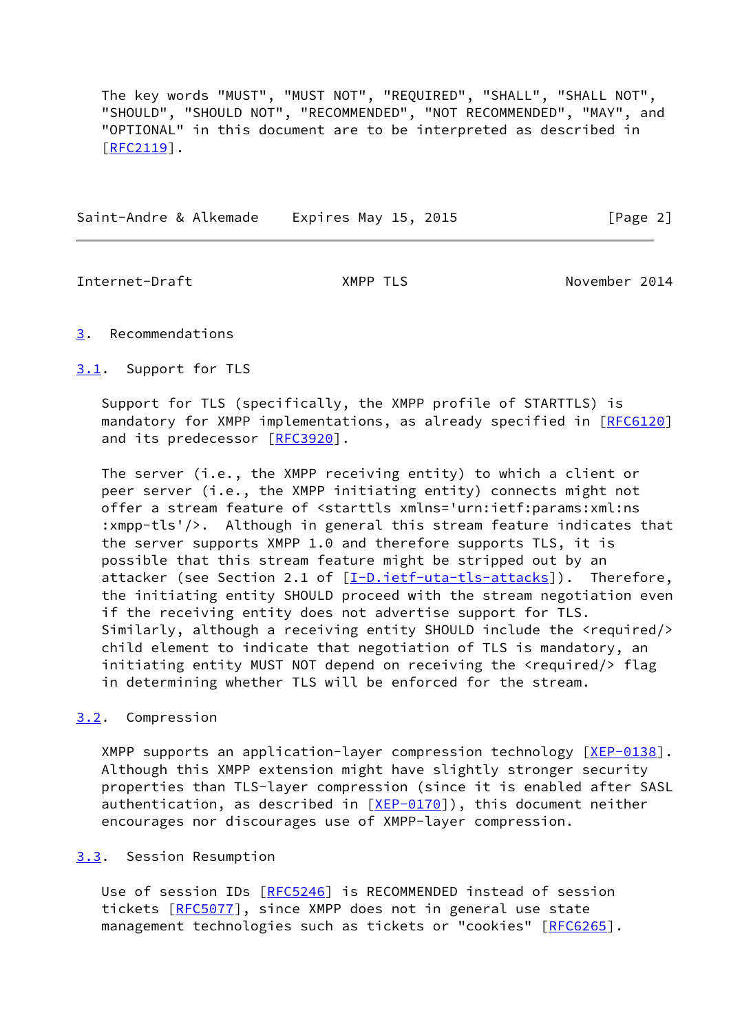The key words "MUST", "MUST NOT", "REQUIRED", "SHALL", "SHALL NOT", "SHOULD", "SHOULD NOT", "RECOMMENDED", "NOT RECOMMENDED", "MAY", and "OPTIONAL" in this document are to be interpreted as described in [\[RFC2119](https://datatracker.ietf.org/doc/pdf/rfc2119)].

Saint-Andre & Alkemade Expires May 15, 2015 [Page 2]

<span id="page-2-1"></span>Internet-Draft XMPP TLS November 2014

- <span id="page-2-0"></span>[3](#page-2-0). Recommendations
- <span id="page-2-2"></span>[3.1](#page-2-2). Support for TLS

 Support for TLS (specifically, the XMPP profile of STARTTLS) is mandatory for XMPP implementations, as already specified in [\[RFC6120](https://datatracker.ietf.org/doc/pdf/rfc6120)] and its predecessor [\[RFC3920](https://datatracker.ietf.org/doc/pdf/rfc3920)].

The server (i.e., the XMPP receiving entity) to which a client or peer server (i.e., the XMPP initiating entity) connects might not offer a stream feature of <starttls xmlns='urn:ietf:params:xml:ns :xmpp-tls'/>. Although in general this stream feature indicates that the server supports XMPP 1.0 and therefore supports TLS, it is possible that this stream feature might be stripped out by an attacker (see Section 2.1 of  $[I-D.iett-uta-tls-attacks]$ ). Therefore, the initiating entity SHOULD proceed with the stream negotiation even if the receiving entity does not advertise support for TLS. Similarly, although a receiving entity SHOULD include the <required/> child element to indicate that negotiation of TLS is mandatory, an initiating entity MUST NOT depend on receiving the <required/> flag in determining whether TLS will be enforced for the stream.

## <span id="page-2-3"></span>[3.2](#page-2-3). Compression

XMPP supports an application-layer compression technology [[XEP-0138\]](#page-6-1). Although this XMPP extension might have slightly stronger security properties than TLS-layer compression (since it is enabled after SASL authentication, as described in  $[XEP-0170]$  $[XEP-0170]$ ), this document neither encourages nor discourages use of XMPP-layer compression.

## <span id="page-2-4"></span>[3.3](#page-2-4). Session Resumption

Use of session IDs [[RFC5246\]](https://datatracker.ietf.org/doc/pdf/rfc5246) is RECOMMENDED instead of session tickets [\[RFC5077](https://datatracker.ietf.org/doc/pdf/rfc5077)], since XMPP does not in general use state management technologies such as tickets or "cookies" [\[RFC6265](https://datatracker.ietf.org/doc/pdf/rfc6265)].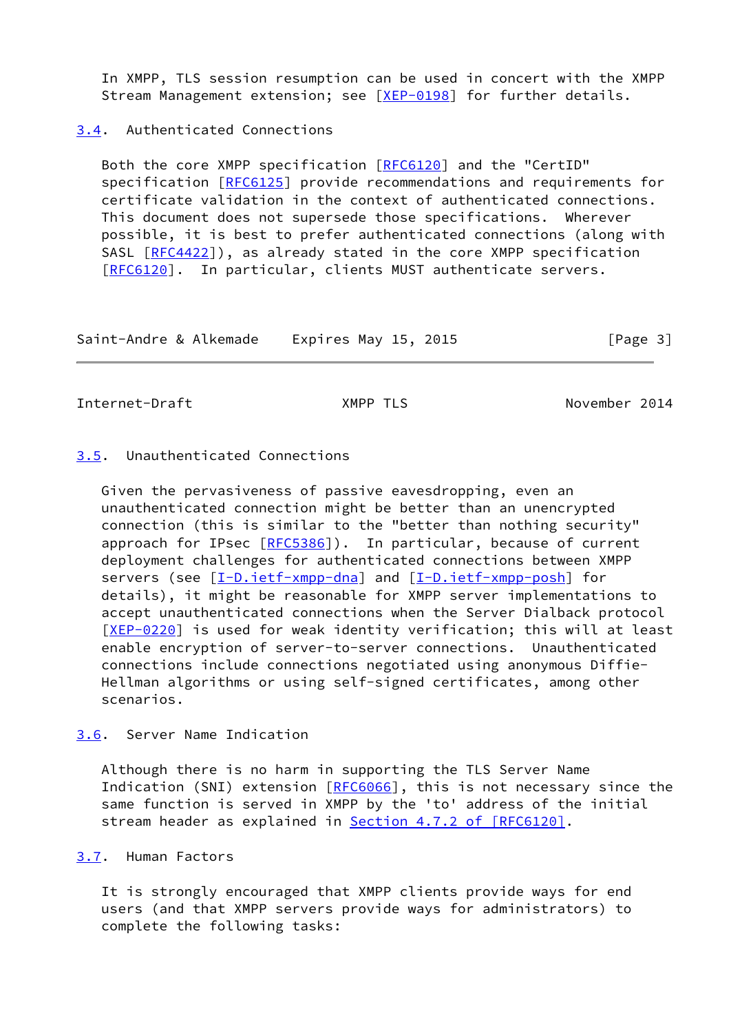In XMPP, TLS session resumption can be used in concert with the XMPP Stream Management extension; see [\[XEP-0198](#page-7-2)] for further details.

## <span id="page-3-0"></span>[3.4](#page-3-0). Authenticated Connections

 Both the core XMPP specification [\[RFC6120](https://datatracker.ietf.org/doc/pdf/rfc6120)] and the "CertID" specification [[RFC6125](https://datatracker.ietf.org/doc/pdf/rfc6125)] provide recommendations and requirements for certificate validation in the context of authenticated connections. This document does not supersede those specifications. Wherever possible, it is best to prefer authenticated connections (along with SASL [\[RFC4422](https://datatracker.ietf.org/doc/pdf/rfc4422)]), as already stated in the core XMPP specification [\[RFC6120](https://datatracker.ietf.org/doc/pdf/rfc6120)]. In particular, clients MUST authenticate servers.

| Saint-Andre & Alkemade | Expires May 15, 2015 | [Page 3] |
|------------------------|----------------------|----------|
|------------------------|----------------------|----------|

<span id="page-3-2"></span>Internet-Draft XMPP TLS XMPP November 2014

# <span id="page-3-1"></span>[3.5](#page-3-1). Unauthenticated Connections

 Given the pervasiveness of passive eavesdropping, even an unauthenticated connection might be better than an unencrypted connection (this is similar to the "better than nothing security" approach for IPsec [[RFC5386\]](https://datatracker.ietf.org/doc/pdf/rfc5386)). In particular, because of current deployment challenges for authenticated connections between XMPP servers (see [\[I-D.ietf-xmpp-dna\]](#page-6-3) and [\[I-D.ietf-xmpp-posh\]](#page-6-4) for details), it might be reasonable for XMPP server implementations to accept unauthenticated connections when the Server Dialback protocol [\[XEP-0220](#page-7-3)] is used for weak identity verification; this will at least enable encryption of server-to-server connections. Unauthenticated connections include connections negotiated using anonymous Diffie- Hellman algorithms or using self-signed certificates, among other scenarios.

# <span id="page-3-3"></span>[3.6](#page-3-3). Server Name Indication

 Although there is no harm in supporting the TLS Server Name Indication (SNI) extension [[RFC6066\]](https://datatracker.ietf.org/doc/pdf/rfc6066), this is not necessary since the same function is served in XMPP by the 'to' address of the initial stream header as explained in **Section 4.7.2 of [RFC6120]**.

## <span id="page-3-4"></span>[3.7](#page-3-4). Human Factors

 It is strongly encouraged that XMPP clients provide ways for end users (and that XMPP servers provide ways for administrators) to complete the following tasks: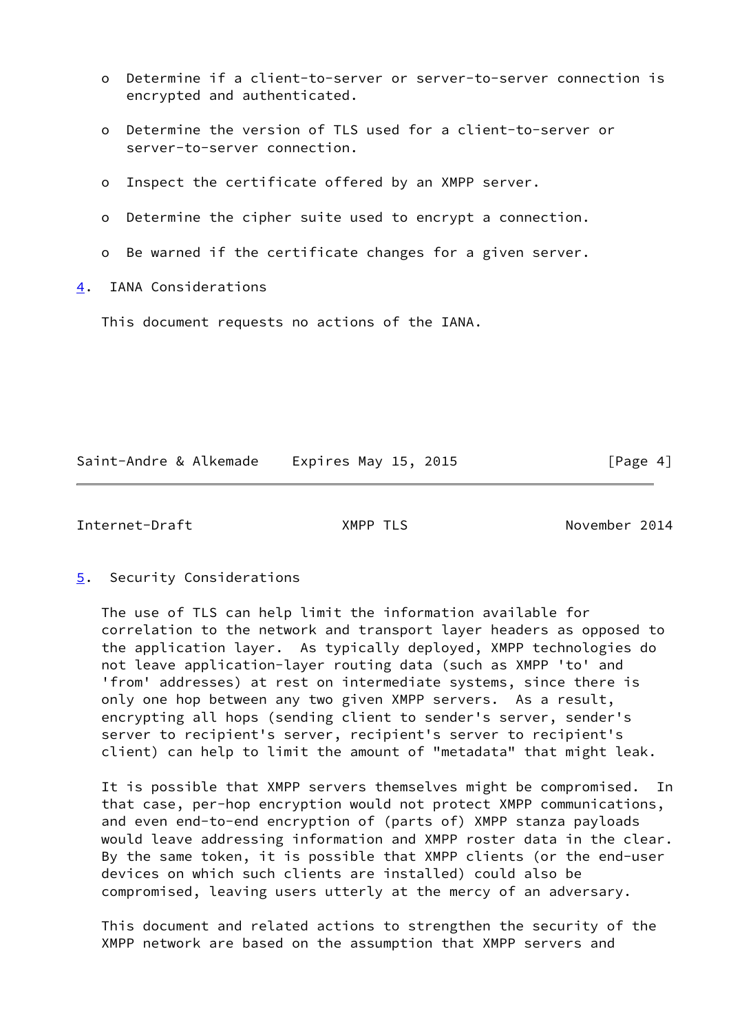- o Determine if a client-to-server or server-to-server connection is encrypted and authenticated.
- o Determine the version of TLS used for a client-to-server or server-to-server connection.
- o Inspect the certificate offered by an XMPP server.
- o Determine the cipher suite used to encrypt a connection.
- o Be warned if the certificate changes for a given server.
- <span id="page-4-0"></span>[4](#page-4-0). IANA Considerations

This document requests no actions of the IANA.

Saint-Andre & Alkemade Expires May 15, 2015 [Page 4]

<span id="page-4-2"></span>Internet-Draft XMPP TLS November 2014

<span id="page-4-1"></span>[5](#page-4-1). Security Considerations

 The use of TLS can help limit the information available for correlation to the network and transport layer headers as opposed to the application layer. As typically deployed, XMPP technologies do not leave application-layer routing data (such as XMPP 'to' and 'from' addresses) at rest on intermediate systems, since there is only one hop between any two given XMPP servers. As a result, encrypting all hops (sending client to sender's server, sender's server to recipient's server, recipient's server to recipient's client) can help to limit the amount of "metadata" that might leak.

 It is possible that XMPP servers themselves might be compromised. In that case, per-hop encryption would not protect XMPP communications, and even end-to-end encryption of (parts of) XMPP stanza payloads would leave addressing information and XMPP roster data in the clear. By the same token, it is possible that XMPP clients (or the end-user devices on which such clients are installed) could also be compromised, leaving users utterly at the mercy of an adversary.

 This document and related actions to strengthen the security of the XMPP network are based on the assumption that XMPP servers and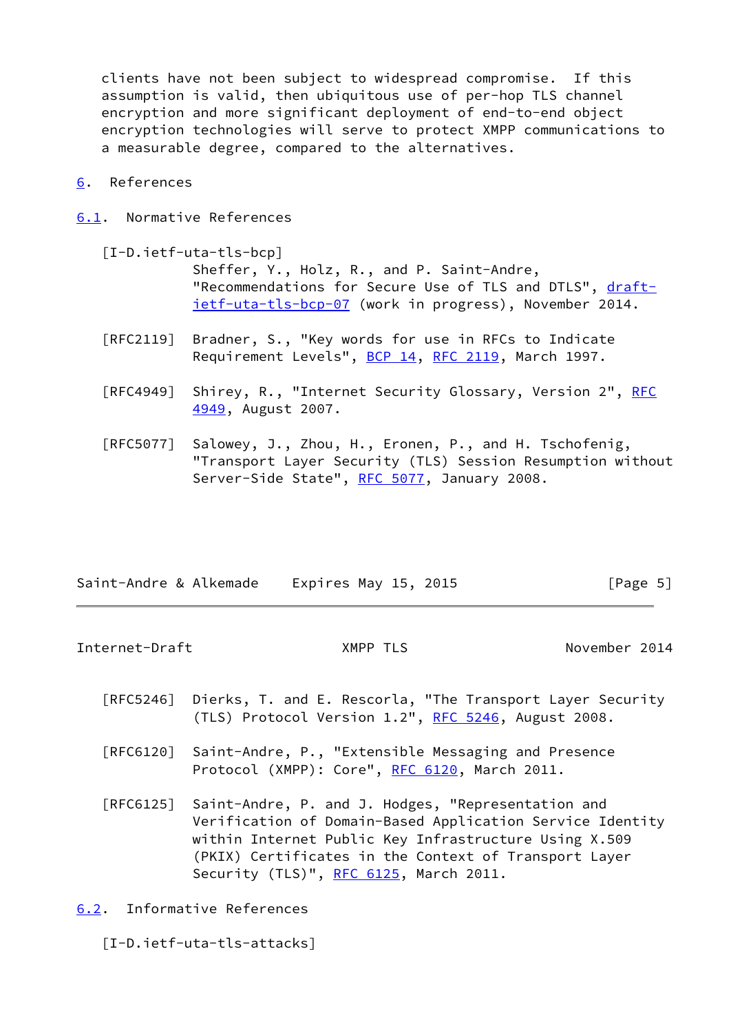clients have not been subject to widespread compromise. If this assumption is valid, then ubiquitous use of per-hop TLS channel encryption and more significant deployment of end-to-end object encryption technologies will serve to protect XMPP communications to a measurable degree, compared to the alternatives.

- <span id="page-5-0"></span>[6](#page-5-0). References
- <span id="page-5-4"></span><span id="page-5-1"></span>[6.1](#page-5-1). Normative References
	- [I-D.ietf-uta-tls-bcp] Sheffer, Y., Holz, R., and P. Saint-Andre, "Recommendations for Secure Use of TLS and DTLS", [draft](https://datatracker.ietf.org/doc/pdf/draft-ietf-uta-tls-bcp-07) [ietf-uta-tls-bcp-07](https://datatracker.ietf.org/doc/pdf/draft-ietf-uta-tls-bcp-07) (work in progress), November 2014.
	- [RFC2119] Bradner, S., "Key words for use in RFCs to Indicate Requirement Levels", [BCP 14](https://datatracker.ietf.org/doc/pdf/bcp14), [RFC 2119](https://datatracker.ietf.org/doc/pdf/rfc2119), March 1997.
	- [RFC4949] Shirey, R., "Internet Security Glossary, Version 2", [RFC](https://datatracker.ietf.org/doc/pdf/rfc4949) [4949,](https://datatracker.ietf.org/doc/pdf/rfc4949) August 2007.
	- [RFC5077] Salowey, J., Zhou, H., Eronen, P., and H. Tschofenig, "Transport Layer Security (TLS) Session Resumption without Server-Side State", [RFC 5077,](https://datatracker.ietf.org/doc/pdf/rfc5077) January 2008.

| Saint-Andre & Alkemade | Expires May 15, 2015 | [Page 5] |
|------------------------|----------------------|----------|
|                        |                      |          |

<span id="page-5-3"></span>Internet-Draft XMPP TLS November 2014

- [RFC5246] Dierks, T. and E. Rescorla, "The Transport Layer Security (TLS) Protocol Version 1.2", [RFC 5246](https://datatracker.ietf.org/doc/pdf/rfc5246), August 2008.
- [RFC6120] Saint-Andre, P., "Extensible Messaging and Presence Protocol (XMPP): Core", [RFC 6120,](https://datatracker.ietf.org/doc/pdf/rfc6120) March 2011.
- [RFC6125] Saint-Andre, P. and J. Hodges, "Representation and Verification of Domain-Based Application Service Identity within Internet Public Key Infrastructure Using X.509 (PKIX) Certificates in the Context of Transport Layer Security (TLS)", [RFC 6125,](https://datatracker.ietf.org/doc/pdf/rfc6125) March 2011.

<span id="page-5-2"></span>[6.2](#page-5-2). Informative References

<span id="page-5-5"></span>[I-D.ietf-uta-tls-attacks]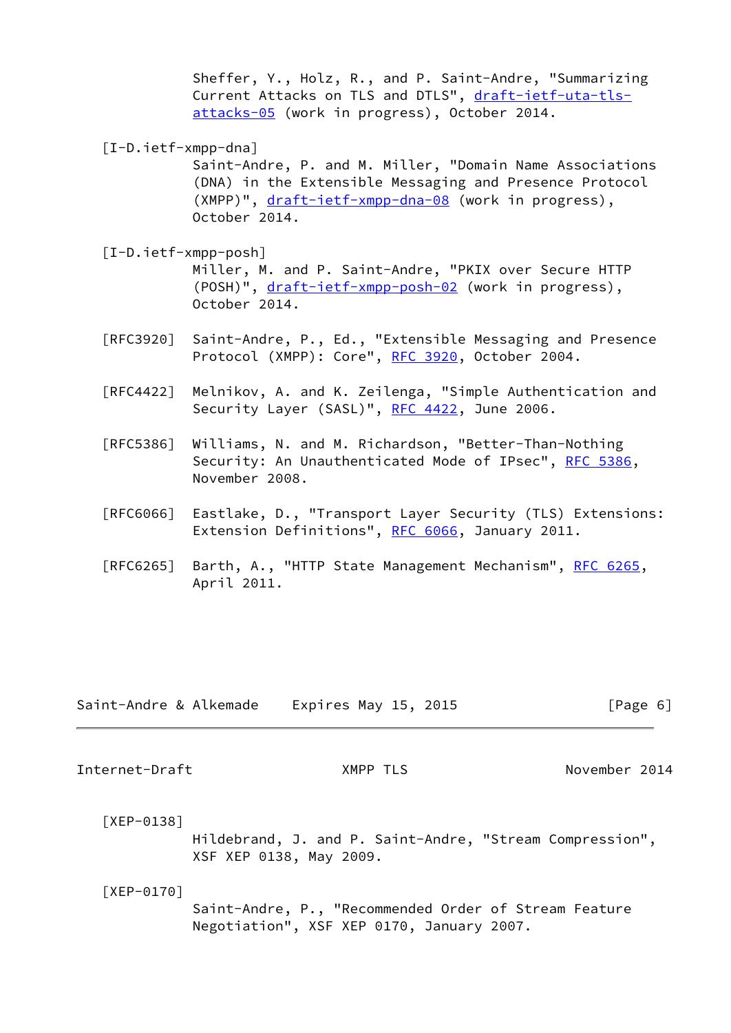Sheffer, Y., Holz, R., and P. Saint-Andre, "Summarizing Current Attacks on TLS and DTLS", [draft-ietf-uta-tls](https://datatracker.ietf.org/doc/pdf/draft-ietf-uta-tls-attacks-05) [attacks-05](https://datatracker.ietf.org/doc/pdf/draft-ietf-uta-tls-attacks-05) (work in progress), October 2014.

<span id="page-6-3"></span>[I-D.ietf-xmpp-dna]

 Saint-Andre, P. and M. Miller, "Domain Name Associations (DNA) in the Extensible Messaging and Presence Protocol (XMPP)", [draft-ietf-xmpp-dna-08](https://datatracker.ietf.org/doc/pdf/draft-ietf-xmpp-dna-08) (work in progress), October 2014.

<span id="page-6-4"></span>[I-D.ietf-xmpp-posh]

 Miller, M. and P. Saint-Andre, "PKIX over Secure HTTP (POSH)", [draft-ietf-xmpp-posh-02](https://datatracker.ietf.org/doc/pdf/draft-ietf-xmpp-posh-02) (work in progress), October 2014.

- [RFC3920] Saint-Andre, P., Ed., "Extensible Messaging and Presence Protocol (XMPP): Core", [RFC 3920,](https://datatracker.ietf.org/doc/pdf/rfc3920) October 2004.
- [RFC4422] Melnikov, A. and K. Zeilenga, "Simple Authentication and Security Layer (SASL)", [RFC 4422,](https://datatracker.ietf.org/doc/pdf/rfc4422) June 2006.
- [RFC5386] Williams, N. and M. Richardson, "Better-Than-Nothing Security: An Unauthenticated Mode of IPsec", [RFC 5386](https://datatracker.ietf.org/doc/pdf/rfc5386), November 2008.
- [RFC6066] Eastlake, D., "Transport Layer Security (TLS) Extensions: Extension Definitions", [RFC 6066,](https://datatracker.ietf.org/doc/pdf/rfc6066) January 2011.
- [RFC6265] Barth, A., "HTTP State Management Mechanism", [RFC 6265](https://datatracker.ietf.org/doc/pdf/rfc6265), April 2011.

| Saint-Andre & Alkemade | Expires May 15, 2015 | [Page 6] |
|------------------------|----------------------|----------|
|------------------------|----------------------|----------|

<span id="page-6-0"></span>Internet-Draft XMPP TLS November 2014

<span id="page-6-1"></span>[XEP-0138]

 Hildebrand, J. and P. Saint-Andre, "Stream Compression", XSF XEP 0138, May 2009.

<span id="page-6-2"></span>[XEP-0170]

 Saint-Andre, P., "Recommended Order of Stream Feature Negotiation", XSF XEP 0170, January 2007.